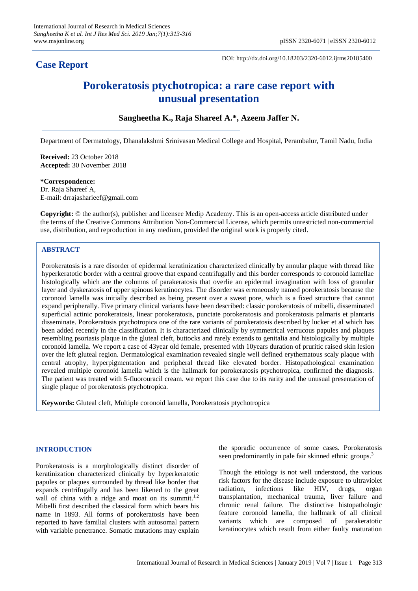# **Case Report**

DOI: http://dx.doi.org/10.18203/2320-6012.ijrms20185400

# **Porokeratosis ptychotropica: a rare case report with unusual presentation**

# **Sangheetha K., Raja Shareef A.\*, Azeem Jaffer N.**

Department of Dermatology, Dhanalakshmi Srinivasan Medical College and Hospital, Perambalur, Tamil Nadu, India

**Received:** 23 October 2018 **Accepted:** 30 November 2018

#### **\*Correspondence:**

Dr. Raja Shareef A, E-mail: drrajasharieef@gmail.com

**Copyright:** © the author(s), publisher and licensee Medip Academy. This is an open-access article distributed under the terms of the Creative Commons Attribution Non-Commercial License, which permits unrestricted non-commercial use, distribution, and reproduction in any medium, provided the original work is properly cited.

## **ABSTRACT**

Porokeratosis is a rare disorder of epidermal keratinization characterized clinically by annular plaque with thread like hyperkeratotic border with a central groove that expand centrifugally and this border corresponds to coronoid lamellae histologically which are the columns of parakeratosis that overlie an epidermal invagination with loss of granular layer and dyskeratosis of upper spinous keratinocytes. The disorder was erroneously named porokeratosis because the coronoid lamella was initially described as being present over a sweat pore, which is a fixed structure that cannot expand peripherally. Five primary clinical variants have been described: classic porokeratosis of mibelli, disseminated superficial actinic porokeratosis, linear porokeratosis, punctate porokeratosis and porokeratosis palmaris et plantaris disseminate. Porokeratosis ptychotropica one of the rare variants of porokeratosis described by lucker et al which has been added recently in the classification. It is characterized clinically by symmetrical verrucous papules and plaques resembling psoriasis plaque in the gluteal cleft, buttocks and rarely extends to genitalia and histologically by multiple coronoid lamella. We report a case of 43year old female, presented with 10years duration of pruritic raised skin lesion over the left gluteal region. Dermatological examination revealed single well defined erythematous scaly plaque with central atrophy, hyperpigmentation and peripheral thread like elevated border. Histopathological examination revealed multiple coronoid lamella which is the hallmark for porokeratosis ptychotropica, confirmed the diagnosis. The patient was treated with 5-fluorouracil cream. we report this case due to its rarity and the unusual presentation of single plaque of porokeratosis ptychotropica.

**Keywords:** Gluteal cleft, Multiple coronoid lamella, Porokeratosis ptychotropica

## **INTRODUCTION**

Porokeratosis is a morphologically distinct disorder of keratinization characterized clinically by hyperkeratotic papules or plaques surrounded by thread like border that expands centrifugally and has been likened to the great wall of china with a ridge and moat on its summit.<sup>1,2</sup> Mibelli first described the classical form which bears his name in 1893. All forms of porokeratosis have been reported to have familial clusters with autosomal pattern with variable penetrance. Somatic mutations may explain the sporadic occurrence of some cases. Porokeratosis seen predominantly in pale fair skinned ethnic groups.<sup>3</sup>

Though the etiology is not well understood, the various risk factors for the disease include exposure to ultraviolet radiation, infections like HIV, drugs, organ transplantation, mechanical trauma, liver failure and chronic renal failure. The distinctive histopathologic feature coronoid lamella, the hallmark of all clinical variants which are composed of parakeratotic keratinocytes which result from either faulty maturation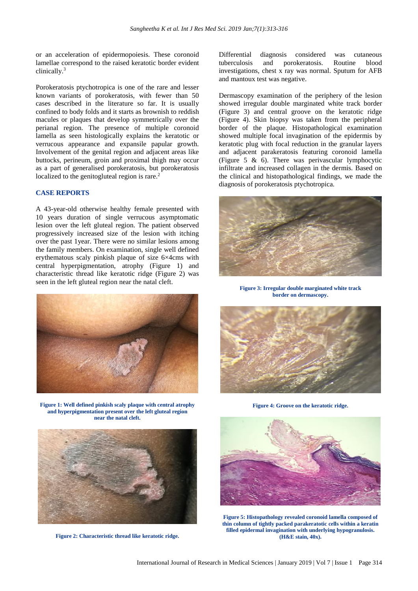or an acceleration of epidermopoiesis. These coronoid lamellae correspond to the raised keratotic border evident clinically.<sup>3</sup>

Porokeratosis ptychotropica is one of the rare and lesser known variants of porokeratosis, with fewer than 50 cases described in the literature so far. It is usually confined to body folds and it starts as brownish to reddish macules or plaques that develop symmetrically over the perianal region. The presence of multiple coronoid lamella as seen histologically explains the keratotic or verrucous appearance and expansile papular growth. Involvement of the genital region and adjacent areas like buttocks, perineum, groin and proximal thigh may occur as a part of generalised porokeratosis, but porokeratosis localized to the genitogluteal region is rare.<sup>2</sup>

#### **CASE REPORTS**

A 43-year-old otherwise healthy female presented with 10 years duration of single verrucous asymptomatic lesion over the left gluteal region. The patient observed progressively increased size of the lesion with itching over the past 1year. There were no similar lesions among the family members. On examination, single well defined erythematous scaly pinkish plaque of size 6×4cms with central hyperpigmentation, atrophy (Figure 1) and characteristic thread like keratotic ridge (Figure 2) was seen in the left gluteal region near the natal cleft.



**Figure 1: Well defined pinkish scaly plaque with central atrophy and hyperpigmentation present over the left gluteal region near the natal cleft.**



**Figure 2: Characteristic thread like keratotic ridge.**

Differential diagnosis considered was cutaneous tuberculosis and porokeratosis. Routine blood investigations, chest x ray was normal. Sputum for AFB and mantoux test was negative.

Dermascopy examination of the periphery of the lesion showed irregular double marginated white track border (Figure 3) and central groove on the keratotic ridge (Figure 4). Skin biopsy was taken from the peripheral border of the plaque. Histopathological examination showed multiple focal invagination of the epidermis by keratotic plug with focal reduction in the granular layers and adjacent parakeratosis featuring coronoid lamella (Figure 5 & 6). There was perivascular lymphocytic infiltrate and increased collagen in the dermis. Based on the clinical and histopathological findings, we made the diagnosis of porokeratosis ptychotropica.



**Figure 3: Irregular double marginated white track border on dermascopy.**



**Figure 4: Groove on the keratotic ridge.**



**Figure 5: Histopathology revealed coronoid lamella composed of thin column of tightly packed parakeratotic cells within a keratin filled epidermal invagination with underlying hypogranulosis. (H&E stain, 40x).**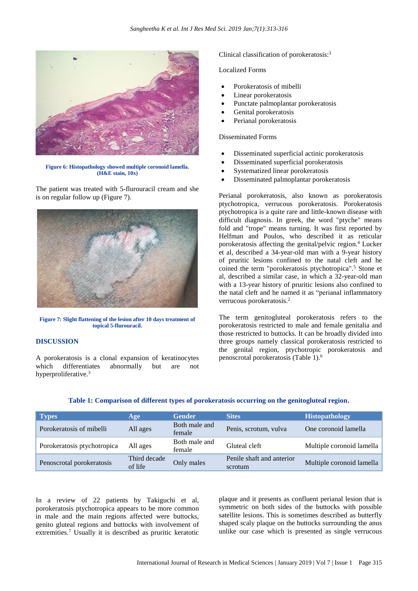

**Figure 6: Histopathology showed multiple coronoid lamella. (H&E stain, 10x)**

The patient was treated with 5-flurouracil cream and she is on regular follow up (Figure 7).



**Figure 7: Slight flattening of the lesion after 10 days treatment of topical 5-flurouracil.**

### **DISCUSSION**

A porokeratosis is a clonal expansion of keratinocytes which differentiates abnormally but are not hyperproliferative.<sup>3</sup>

Clinical classification of porokeratosis:<sup>3</sup>

# Localized Forms

- Porokeratosis of mibelli
- Linear porokeratosis
- Punctate palmoplantar porokeratosis
- Genital porokeratosis
- Perianal porokeratosis

#### Disseminated Forms

- Disseminated superficial actinic porokeratosis
- Disseminated superficial porokeratosis
- Systematized linear porokeratosis
- Disseminated palmoplantar porokeratosis

Perianal porokeratosis, also known as porokeratosis ptychotropica, verrucous porokeratosis. Porokeratosis ptychotropica is a quite rare and little-known disease with difficult diagnosis. In greek, the word "ptyche" means fold and "trope" means turning. It was first reported by Helfman and Poulos, who described it as reticular porokeratosis affecting the genital/pelvic region.<sup>4</sup> Lucker et al, described a 34-year-old man with a 9-year history of pruritic lesions confined to the natal cleft and he coined the term "porokeratosis ptychotropica".<sup>5</sup> Stone et al, described a similar case, in which a 32-year-old man with a 13-year history of pruritic lesions also confined to the natal cleft and he named it as "perianal inflammatory verrucous porokeratosis.<sup>2</sup>

The term genitogluteal porokeratosis refers to the porokeratosis restricted to male and female genitalia and those restricted to buttocks. It can be broadly divided into three groups namely classical porokeratosis restricted to the genital region, ptychotropic porokeratosis and penoscrotal porokeratosis (Table 1).<sup>6</sup>

| <b>Types</b>                | Age                     | <b>Gender</b>           | <b>Sites</b>                         | <b>Histopathology</b>     |
|-----------------------------|-------------------------|-------------------------|--------------------------------------|---------------------------|
| Porokeratosis of mibelli    | All ages                | Both male and<br>female | Penis, scrotum, vulva                | One coronoid lamella      |
| Porokeratosis ptychotropica | All ages                | Both male and<br>female | Gluteal cleft                        | Multiple coronoid lamella |
| Penoscrotal porokeratosis   | Third decade<br>of life | Only males              | Penile shaft and anterior<br>scrotum | Multiple coronoid lamella |

#### **Table 1: Comparison of different types of porokeratosis occurring on the genitogluteal region.**

In a review of 22 patients by Takiguchi et al, porokeratosis ptychotropica appears to be more common in male and the main regions affected were buttocks, genito gluteal regions and buttocks with involvement of extremities.<sup>7</sup> Usually it is described as pruritic keratotic plaque and it presents as confluent perianal lesion that is symmetric on both sides of the buttocks with possible satellite lesions. This is sometimes described as butterfly shaped scaly plaque on the buttocks surrounding the anus unlike our case which is presented as single verrucous